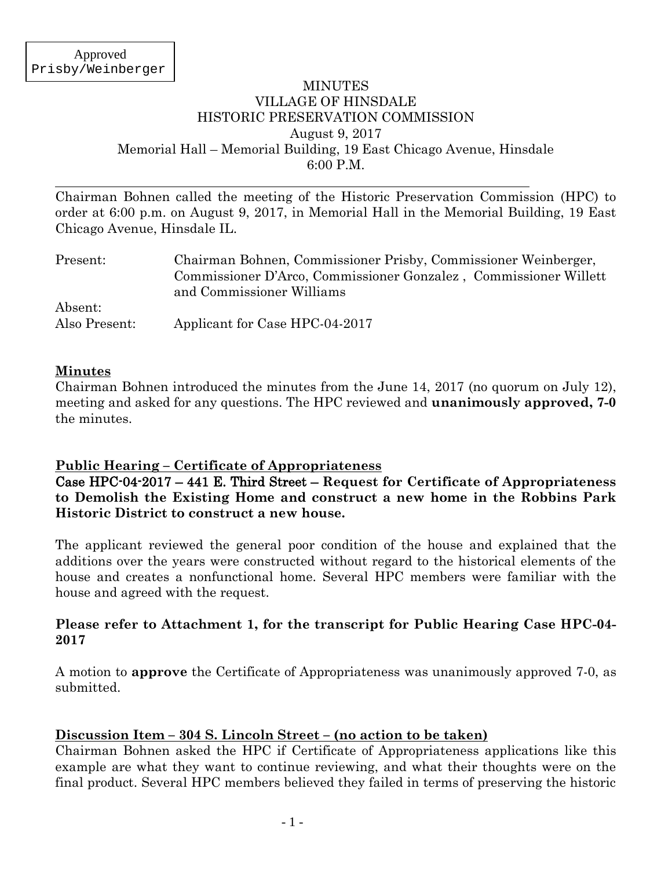#### MINUTES VILLAGE OF HINSDALE HISTORIC PRESERVATION COMMISSION August 9, 2017 Memorial Hall – Memorial Building, 19 East Chicago Avenue, Hinsdale 6:00 P.M.

Chairman Bohnen called the meeting of the Historic Preservation Commission (HPC) to order at 6:00 p.m. on August 9, 2017, in Memorial Hall in the Memorial Building, 19 East Chicago Avenue, Hinsdale IL.

| Present:                 | Chairman Bohnen, Commissioner Prisby, Commissioner Weinberger,<br>Commissioner D'Arco, Commissioner Gonzalez, Commissioner Willett<br>and Commissioner Williams |  |
|--------------------------|-----------------------------------------------------------------------------------------------------------------------------------------------------------------|--|
| Absent:<br>Also Present: | Applicant for Case HPC-04-2017                                                                                                                                  |  |

### **Minutes**

Chairman Bohnen introduced the minutes from the June 14, 2017 (no quorum on July 12), meeting and asked for any questions. The HPC reviewed and **unanimously approved, 7-0**  the minutes.

## **Public Hearing – Certificate of Appropriateness**

Case HPC-04-2017 – 441 E. Third Street – **Request for Certificate of Appropriateness to Demolish the Existing Home and construct a new home in the Robbins Park Historic District to construct a new house.**

The applicant reviewed the general poor condition of the house and explained that the additions over the years were constructed without regard to the historical elements of the house and creates a nonfunctional home. Several HPC members were familiar with the house and agreed with the request.

### **Please refer to Attachment 1, for the transcript for Public Hearing Case HPC-04- 2017**

A motion to **approve** the Certificate of Appropriateness was unanimously approved 7-0, as submitted.

## **Discussion Item – 304 S. Lincoln Street – (no action to be taken)**

Chairman Bohnen asked the HPC if Certificate of Appropriateness applications like this example are what they want to continue reviewing, and what their thoughts were on the final product. Several HPC members believed they failed in terms of preserving the historic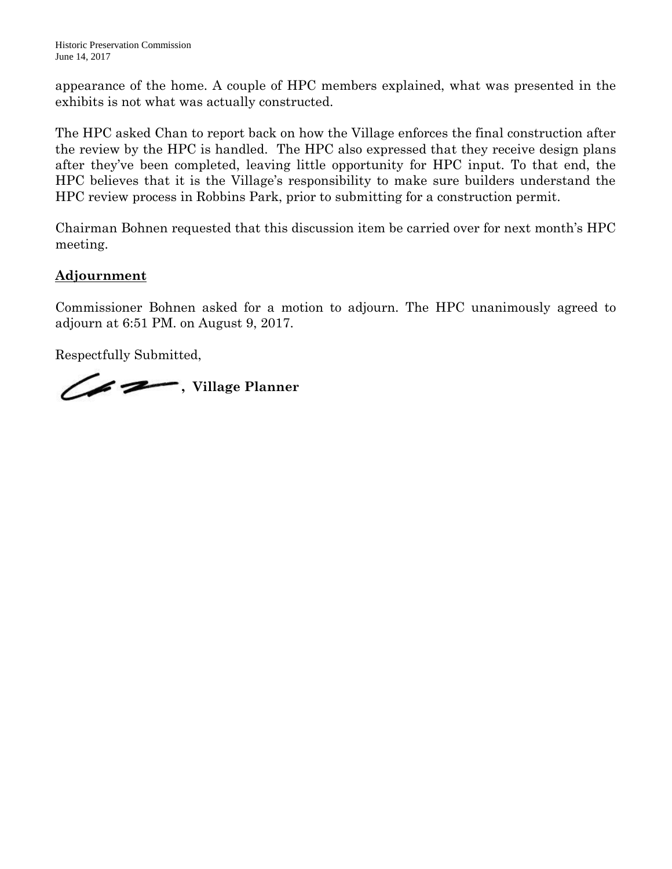appearance of the home. A couple of HPC members explained, what was presented in the exhibits is not what was actually constructed.

The HPC asked Chan to report back on how the Village enforces the final construction after the review by the HPC is handled. The HPC also expressed that they receive design plans after they've been completed, leaving little opportunity for HPC input. To that end, the HPC believes that it is the Village's responsibility to make sure builders understand the HPC review process in Robbins Park, prior to submitting for a construction permit.

Chairman Bohnen requested that this discussion item be carried over for next month's HPC meeting.

# **Adjournment**

Commissioner Bohnen asked for a motion to adjourn. The HPC unanimously agreed to adjourn at 6:51 PM. on August 9, 2017.

Respectfully Submitted,

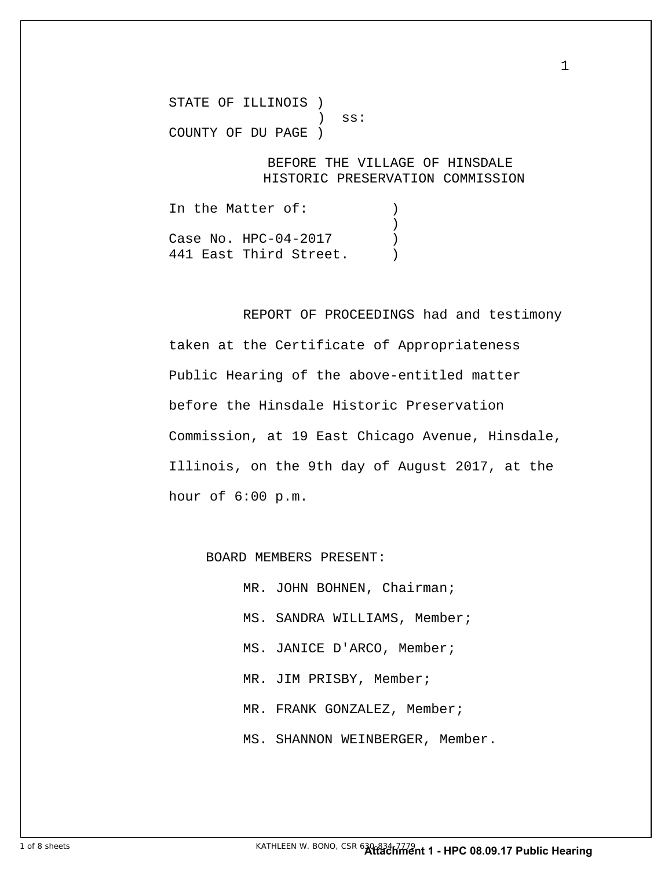STATE OF ILLINOIS )  $)$  ss: COUNTY OF DU PAGE )

> BEFORE THE VILLAGE OF HINSDALE HISTORIC PRESERVATION COMMISSION

1

In the Matter of: (1) ) Case No. HPC-04-2017 441 East Third Street.

 REPORT OF PROCEEDINGS had and testimony taken at the Certificate of Appropriateness Public Hearing of the above-entitled matter before the Hinsdale Historic Preservation Commission, at 19 East Chicago Avenue, Hinsdale, Illinois, on the 9th day of August 2017, at the hour of 6:00 p.m.

BOARD MEMBERS PRESENT:

MR. JOHN BOHNEN, Chairman; MS. SANDRA WILLIAMS, Member; MS. JANICE D'ARCO, Member; MR. JIM PRISBY, Member; MR. FRANK GONZALEZ, Member; MS. SHANNON WEINBERGER, Member.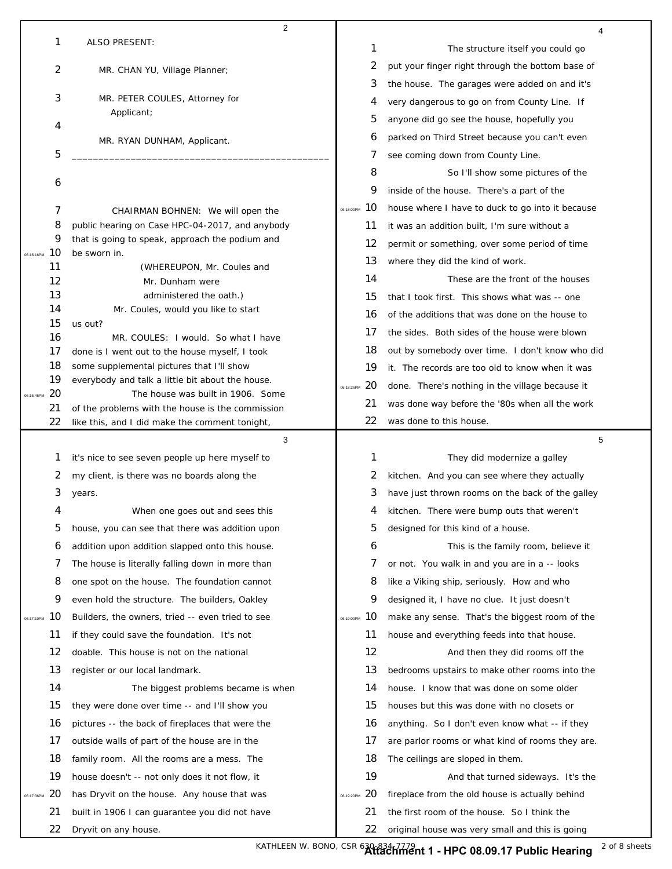|                  | $\overline{c}$                                                                                     |                  |                                                  |
|------------------|----------------------------------------------------------------------------------------------------|------------------|--------------------------------------------------|
| 1                | <b>ALSO PRESENT:</b>                                                                               | 1                | 4<br>The structure itself you could go           |
| $\mathbf{2}$     | MR. CHAN YU, Village Planner;                                                                      | 2                | put your finger right through the bottom base of |
|                  |                                                                                                    | 3                | the house. The garages were added on and it's    |
| 3                | MR. PETER COULES, Attorney for                                                                     | 4                | very dangerous to go on from County Line. If     |
|                  | Applicant;                                                                                         | 5                | anyone did go see the house, hopefully you       |
| 4                | MR. RYAN DUNHAM, Applicant.                                                                        | 6                | parked on Third Street because you can't even    |
| 5                |                                                                                                    | 7                | see coming down from County Line.                |
|                  |                                                                                                    | 8                | So I'll show some pictures of the                |
| 6                |                                                                                                    | 9                | inside of the house. There's a part of the       |
| 7                | CHAIRMAN BOHNEN: We will open the                                                                  | 10<br>06:18:00PM | house where I have to duck to go into it because |
| 8                | public hearing on Case HPC-04-2017, and anybody                                                    | 11               | it was an addition built, I'm sure without a     |
| 9                | that is going to speak, approach the podium and                                                    | 12               | permit or something, over some period of time    |
| 10<br>06:16:16PM | be sworn in.                                                                                       | 13               | where they did the kind of work.                 |
| 11<br>12         | (WHEREUPON, Mr. Coules and<br>Mr. Dunham were                                                      | 14               | These are the front of the houses                |
| 13               | administered the oath.)                                                                            | 15               | that I took first. This shows what was -- one    |
| 14               | Mr. Coules, would you like to start                                                                | 16               | of the additions that was done on the house to   |
| 15               | us out?                                                                                            | 17               | the sides. Both sides of the house were blown    |
| 16<br>17         | MR. COULES: I would. So what I have<br>done is I went out to the house myself, I took              | 18               | out by somebody over time. I don't know who did  |
| 18               | some supplemental pictures that I'll show                                                          | 19               | it. The records are too old to know when it was  |
| 19               | everybody and talk a little bit about the house.                                                   | 20<br>06:18:26PM | done. There's nothing in the village because it  |
| 20<br>06:16:46PM | The house was built in 1906. Some                                                                  | 21               | was done way before the '80s when all the work   |
| 21<br>22         | of the problems with the house is the commission<br>like this, and I did make the comment tonight, | 22               | was done to this house.                          |
|                  |                                                                                                    |                  |                                                  |
|                  |                                                                                                    |                  |                                                  |
| 1                | 3<br>it's nice to see seven people up here myself to                                               | 1                | 5<br>They did modernize a galley                 |
| 2                | my client, is there was no boards along the                                                        | 2                | kitchen. And you can see where they actually     |
| 3                | years.                                                                                             | 3                | have just thrown rooms on the back of the galley |
| 4                | When one goes out and sees this                                                                    | 4                | kitchen. There were bump outs that weren't       |
| 5                | house, you can see that there was addition upon                                                    | 5                | designed for this kind of a house.               |
| 6                | addition upon addition slapped onto this house.                                                    | 6                | This is the family room, believe it              |
| 7                | The house is literally falling down in more than                                                   | 7                | or not. You walk in and you are in a -- looks    |
| 8                | one spot on the house. The foundation cannot                                                       | 8                | like a Viking ship, seriously. How and who       |
| 9                | even hold the structure. The builders, Oakley                                                      | 9                | designed it, I have no clue. It just doesn't     |
| 10<br>06:17:10PM | Builders, the owners, tried -- even tried to see                                                   | 10<br>06:19:00PM | make any sense. That's the biggest room of the   |
| 11               | if they could save the foundation. It's not                                                        | 11               | house and everything feeds into that house.      |
| 12               | doable. This house is not on the national                                                          | 12               | And then they did rooms off the                  |
| 13               | register or our local landmark.                                                                    | 13               | bedrooms upstairs to make other rooms into the   |
| 14               | The biggest problems became is when                                                                | 14               | house. I know that was done on some older        |
| 15               | they were done over time -- and I'll show you                                                      | 15               | houses but this was done with no closets or      |
| 16               | pictures -- the back of fireplaces that were the                                                   | 16               | anything. So I don't even know what -- if they   |
| 17               | outside walls of part of the house are in the                                                      | 17               | are parlor rooms or what kind of rooms they are. |
| 18               | family room. All the rooms are a mess. The                                                         | 18               | The ceilings are sloped in them.                 |
| 19               | house doesn't -- not only does it not flow, it                                                     | 19               | And that turned sideways. It's the               |
| 20<br>06:17:36PM | has Dryvit on the house. Any house that was                                                        | 20<br>06:19:20PM | fireplace from the old house is actually behind  |
| 21               | built in 1906 I can guarantee you did not have                                                     | 21               | the first room of the house. So I think the      |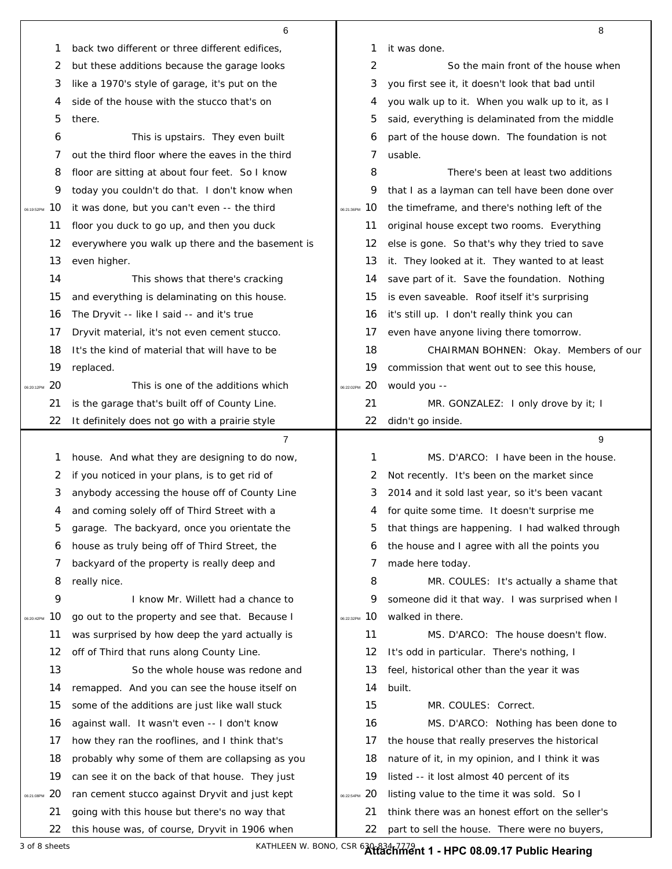|            |     | 6                                                |                  | 8                                                |
|------------|-----|--------------------------------------------------|------------------|--------------------------------------------------|
|            | 1   | back two different or three different edifices,  | 1                | it was done.                                     |
|            | 2   | but these additions because the garage looks     | 2                | So the main front of the house when              |
|            | 3   | like a 1970's style of garage, it's put on the   | 3                | you first see it, it doesn't look that bad until |
|            | 4   | side of the house with the stucco that's on      | 4                | you walk up to it. When you walk up to it, as I  |
|            | 5   | there.                                           | 5                | said, everything is delaminated from the middle  |
|            | 6   | This is upstairs. They even built                | 6                | part of the house down. The foundation is not    |
|            | 7   | out the third floor where the eaves in the third | 7                | usable.                                          |
|            | 8   | floor are sitting at about four feet. So I know  | 8                | There's been at least two additions              |
|            | 9   | today you couldn't do that. I don't know when    | 9                | that I as a layman can tell have been done over  |
| 06:19:52PM | 10  | it was done, but you can't even -- the third     | 10<br>06:21:36PM | the timeframe, and there's nothing left of the   |
|            | 11  | floor you duck to go up, and then you duck       | 11               | original house except two rooms. Everything      |
|            | 12  | everywhere you walk up there and the basement is | 12               | else is gone. So that's why they tried to save   |
|            | 13  | even higher.                                     | 13               | it. They looked at it. They wanted to at least   |
|            | 14  | This shows that there's cracking                 | 14               | save part of it. Save the foundation. Nothing    |
|            | 15  | and everything is delaminating on this house.    | 15               | is even saveable. Roof itself it's surprising    |
|            | 16  | The Dryvit -- like I said -- and it's true       | 16               | it's still up. I don't really think you can      |
|            | 17  | Dryvit material, it's not even cement stucco.    | 17               | even have anyone living there tomorrow.          |
|            | 18  | It's the kind of material that will have to be   | 18               | CHAIRMAN BOHNEN: Okay. Members of our            |
|            | 19  | replaced.                                        | 19               | commission that went out to see this house,      |
| 06:20:12PM | -20 | This is one of the additions which               | 06:22:02PM 20    | would you --                                     |
|            | 21  | is the garage that's built off of County Line.   | 21               | MR. GONZALEZ: I only drove by it; I              |
|            | 22  | It definitely does not go with a prairie style   | 22               | didn't go inside.                                |
|            |     |                                                  |                  |                                                  |
|            |     | 7                                                |                  | 9                                                |
|            | 1   | house. And what they are designing to do now,    | 1                | MS. D'ARCO: I have been in the house.            |
|            | 2   | if you noticed in your plans, is to get rid of   | 2                | Not recently. It's been on the market since      |
|            | 3   | anybody accessing the house off of County Line   | З                | 2014 and it sold last year, so it's been vacant  |
|            | 4   | and coming solely off of Third Street with a     | 4                | for quite some time. It doesn't surprise me      |
|            | 5   | garage. The backyard, once you orientate the     | 5                | that things are happening. I had walked through  |
|            | 6   | house as truly being off of Third Street, the    | 6                | the house and I agree with all the points you    |
|            | 7   | backyard of the property is really deep and      | 7                | made here today.                                 |
|            | 8   | really nice.                                     | 8                | MR. COULES: It's actually a shame that           |
|            | 9   | I know Mr. Willett had a chance to               | 9                | someone did it that way. I was surprised when I  |
| 06:20:42PM | 10  | go out to the property and see that. Because I   | 10<br>06:22:32PM | walked in there.                                 |
|            | 11  | was surprised by how deep the yard actually is   | 11               | MS. D'ARCO: The house doesn't flow.              |
|            | 12  | off of Third that runs along County Line.        | 12               | It's odd in particular. There's nothing, I       |
|            | 13  | So the whole house was redone and                | 13               | feel, historical other than the year it was      |
|            | 14  | remapped. And you can see the house itself on    | 14               | built.                                           |
|            | 15  | some of the additions are just like wall stuck   | 15               | MR. COULES: Correct.                             |
|            | 16  | against wall. It wasn't even -- I don't know     | 16               | MS. D'ARCO: Nothing has been done to             |
|            | 17  | how they ran the rooflines, and I think that's   | 17               | the house that really preserves the historical   |
|            | 18  | probably why some of them are collapsing as you  | 18               | nature of it, in my opinion, and I think it was  |
|            | 19  | can see it on the back of that house. They just  | 19               | listed -- it lost almost 40 percent of its       |
| 06:21:08PM | 20  | ran cement stucco against Dryvit and just kept   | 20<br>06:22:54PM | listing value to the time it was sold. So I      |
|            | 21  | going with this house but there's no way that    | 21               | think there was an honest effort on the seller's |

3 of 8 sheets KATHLEEN W. BONO, CSR 630-834-7779 **Attachment 1 - HPC 08.09.17 Public Hearing**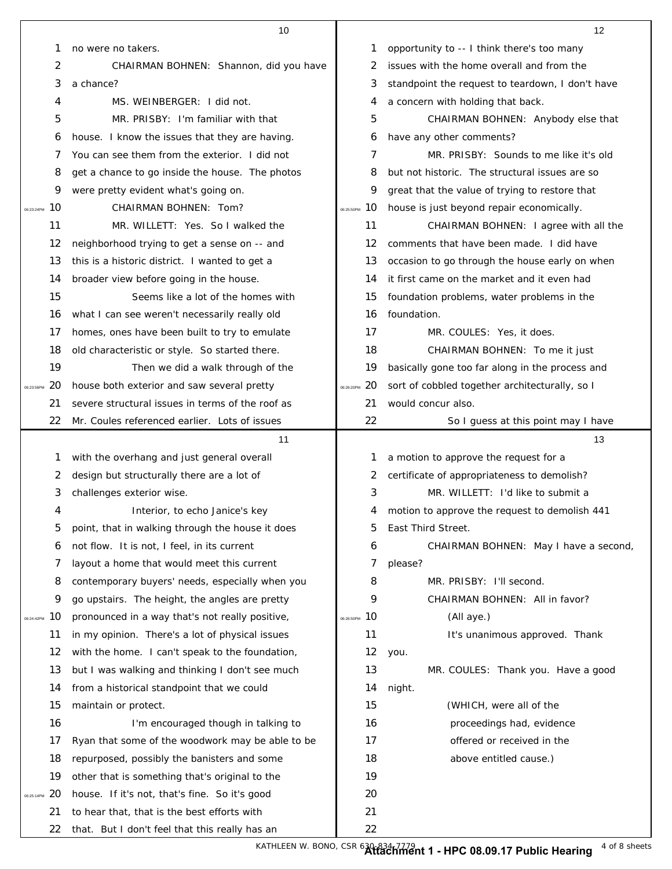|                        | 10                                                                                           |               | 12                                               |
|------------------------|----------------------------------------------------------------------------------------------|---------------|--------------------------------------------------|
|                        | 1<br>no were no takers.                                                                      | 1             | opportunity to -- I think there's too many       |
|                        | 2<br>CHAIRMAN BOHNEN: Shannon, did you have                                                  | 2             | issues with the home overall and from the        |
|                        | 3<br>a chance?                                                                               | 3             | standpoint the request to teardown, I don't have |
|                        | MS. WEINBERGER: I did not.<br>4                                                              | 4             | a concern with holding that back.                |
|                        | 5<br>MR. PRISBY: I'm familiar with that                                                      | 5             | CHAIRMAN BOHNEN: Anybody else that               |
|                        | house. I know the issues that they are having.<br>6                                          | 6             | have any other comments?                         |
|                        | You can see them from the exterior. I did not<br>7                                           | 7             | MR. PRISBY: Sounds to me like it's old           |
|                        | get a chance to go inside the house. The photos<br>8                                         | 8             | but not historic. The structural issues are so   |
|                        | 9<br>were pretty evident what's going on.                                                    | 9             | great that the value of trying to restore that   |
| 10<br>06:23:24PM       | CHAIRMAN BOHNEN: Tom?                                                                        | 06:25:50PM 10 | house is just beyond repair economically.        |
| 11                     | MR. WILLETT: Yes. So I walked the                                                            | 11            | CHAIRMAN BOHNEN: I agree with all the            |
| 12                     | neighborhood trying to get a sense on -- and                                                 | 12            | comments that have been made. I did have         |
| 13                     | this is a historic district. I wanted to get a                                               | 13            | occasion to go through the house early on when   |
| 14                     | broader view before going in the house.                                                      | 14            | it first came on the market and it even had      |
| 15                     | Seems like a lot of the homes with                                                           | 15            | foundation problems, water problems in the       |
| 16                     | what I can see weren't necessarily really old                                                | 16            | foundation.                                      |
| 17                     | homes, ones have been built to try to emulate                                                | 17            | MR. COULES: Yes, it does.                        |
| 18                     | old characteristic or style. So started there.                                               | 18            | CHAIRMAN BOHNEN: To me it just                   |
| 19                     | Then we did a walk through of the                                                            | 19            | basically gone too far along in the process and  |
| 20<br>06:23:56PM       | house both exterior and saw several pretty                                                   | 06:26:20PM 20 | sort of cobbled together architecturally, so I   |
| 21                     | severe structural issues in terms of the roof as                                             | 21            | would concur also.                               |
| 22                     | Mr. Coules referenced earlier. Lots of issues                                                | 22            | So I guess at this point may I have              |
|                        | 11                                                                                           |               | 13                                               |
|                        | with the overhang and just general overall<br>1                                              | 1             | a motion to approve the request for a            |
|                        | design but structurally there are a lot of<br>2                                              | 2             | certificate of appropriateness to demolish?      |
|                        | 3<br>challenges exterior wise.                                                               | 3             | MR. WILLETT: I'd like to submit a                |
|                        | л<br>Interior, to echo Janice's key                                                          |               | motion to approve the request to demolish 441    |
|                        | 5<br>point, that in walking through the house it does                                        | 5             | East Third Street.                               |
|                        | not flow. It is not, I feel, in its current<br>6                                             | 6             |                                                  |
| 7                      | layout a home that would meet this current                                                   |               | CHAIRMAN BOHNEN: May I have a second,            |
|                        |                                                                                              | 7             | please?                                          |
|                        | 8<br>contemporary buyers' needs, especially when you                                         | 8             | MR. PRISBY: I'll second.                         |
| 10<br>06:24:42PM       | 9<br>go upstairs. The height, the angles are pretty                                          | 9             | CHAIRMAN BOHNEN: All in favor?                   |
| 11                     | pronounced in a way that's not really positive,                                              | 06:26:50PM 10 | (All aye.)                                       |
| 12                     | in my opinion. There's a lot of physical issues                                              | 11            | It's unanimous approved. Thank                   |
| 13                     | with the home. I can't speak to the foundation,                                              | 12            | you.                                             |
|                        | but I was walking and thinking I don't see much                                              | 13            | MR. COULES: Thank you. Have a good               |
| 14                     | from a historical standpoint that we could                                                   | 14            | night.                                           |
| 15                     | maintain or protect.                                                                         | 15            | (WHICH, were all of the                          |
| 16                     | I'm encouraged though in talking to                                                          | 16            | proceedings had, evidence                        |
| 17                     | Ryan that some of the woodwork may be able to be                                             | 17            | offered or received in the                       |
| 18                     | repurposed, possibly the banisters and some                                                  | 18            | above entitled cause.)                           |
| 19                     | other that is something that's original to the                                               | 19            |                                                  |
| 20<br>06:25:14PM<br>21 | house. If it's not, that's fine. So it's good<br>to hear that, that is the best efforts with | 20<br>21      |                                                  |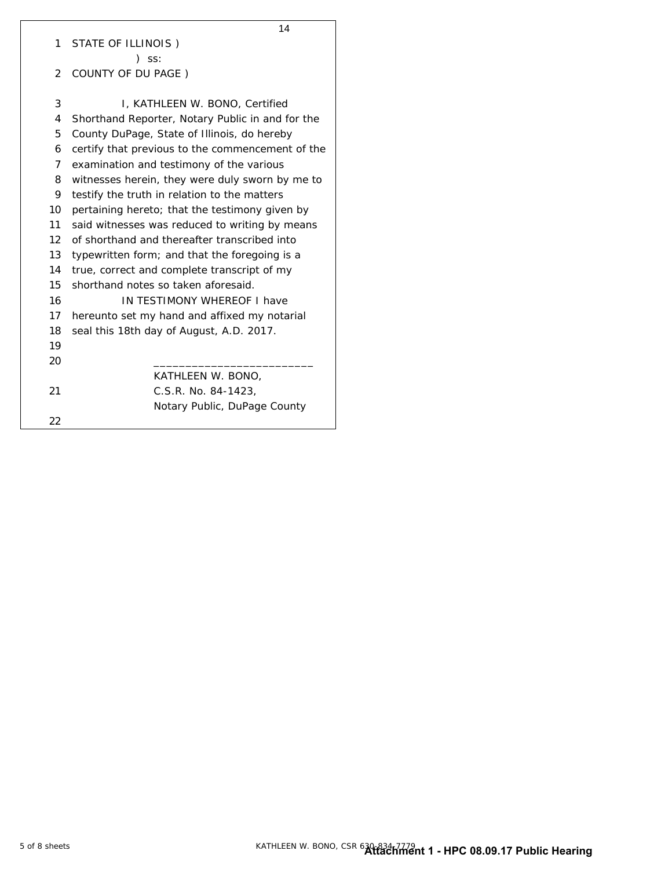|              | 14                                               |  |  |
|--------------|--------------------------------------------------|--|--|
| 1            | STATE OF ILLINOIS)                               |  |  |
|              | $)$ SS:                                          |  |  |
| $\mathbf{2}$ | COUNTY OF DU PAGE)                               |  |  |
|              |                                                  |  |  |
| 3            | I, KATHLEEN W. BONO, Certified                   |  |  |
| 4            | Shorthand Reporter, Notary Public in and for the |  |  |
| 5            | County DuPage, State of Illinois, do hereby      |  |  |
| 6            | certify that previous to the commencement of the |  |  |
| 7            | examination and testimony of the various         |  |  |
| 8            | witnesses herein, they were duly sworn by me to  |  |  |
| 9            | testify the truth in relation to the matters     |  |  |
| 10           | pertaining hereto; that the testimony given by   |  |  |
| 11           | said witnesses was reduced to writing by means   |  |  |
| 12           | of shorthand and thereafter transcribed into     |  |  |
| 13           | typewritten form; and that the foregoing is a    |  |  |
| 14           | true, correct and complete transcript of my      |  |  |
| 15           | shorthand notes so taken aforesaid.              |  |  |
| 16           | IN TESTIMONY WHEREOF I have                      |  |  |
| 17           | hereunto set my hand and affixed my notarial     |  |  |
| 18           | seal this 18th day of August, A.D. 2017.         |  |  |
| 19           |                                                  |  |  |
| 20           |                                                  |  |  |
|              | KATHLEEN W. BONO,                                |  |  |
| 21           | C.S.R. No. 84-1423,                              |  |  |
|              | Notary Public, DuPage County                     |  |  |
| 22           |                                                  |  |  |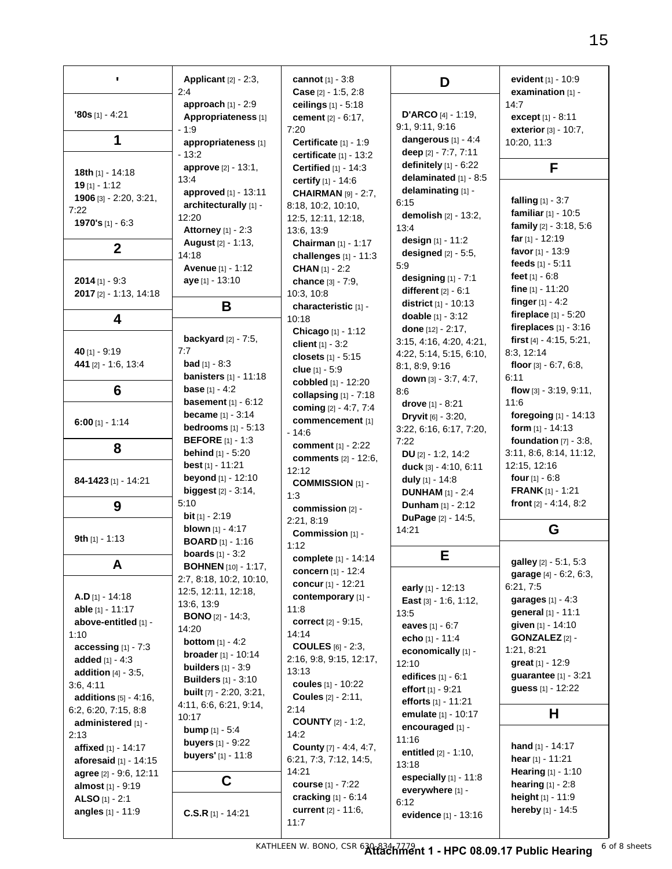| $\blacksquare$                             | Applicant [2] - 2:3,<br>2:4                             | cannot $[1] - 3:8$<br>Case [2] - 1:5, 2:8              | D                                       | evident $[1] - 10.9$<br>examination $[1]$ - |
|--------------------------------------------|---------------------------------------------------------|--------------------------------------------------------|-----------------------------------------|---------------------------------------------|
|                                            | approach [1] - 2:9                                      | ceilings [1] - 5:18                                    |                                         | 14:7                                        |
| $'80s$ [1] - 4:21                          | Appropriateness <sup>[1]</sup>                          | cement [2] - 6:17,                                     | <b>D'ARCO</b> [4] - 1:19,               | except [1] - 8:11                           |
|                                            | $-1:9$                                                  | 7:20                                                   | 9:1, 9:11, 9:16                         | exterior [3] - 10:7,                        |
| 1                                          | appropriateness [1]                                     | Certificate [1] - 1:9                                  | dangerous [1] - 4:4                     | 10:20, 11:3                                 |
|                                            | $-13:2$                                                 | certificate $[1]$ - 13:2                               | deep [2] - 7:7, 7:11                    |                                             |
| 18th [1] - 14:18                           | approve [2] - 13:1,                                     | <b>Certified</b> [1] - 14:3                            | definitely $[1] - 6:22$                 | F                                           |
| $19$ [1] - 1:12                            | 13:4                                                    | certify [1] - 14:6                                     | delaminated [1] - 8:5                   |                                             |
| 1906 [3] - 2:20, 3:21,                     | approved [1] - 13:11                                    | <b>CHAIRMAN</b> [9] - 2:7,                             | delaminating [1] -                      | falling $[1] - 3:7$                         |
| 7:22                                       | architecturally [1] -                                   | 8:18, 10:2, 10:10,                                     | 6:15                                    | familiar $[1] - 10:5$                       |
| 1970's $[1] - 6:3$                         | 12:20                                                   | 12:5, 12:11, 12:18,                                    | demolish [2] - 13:2,                    | family [2] - 3:18, 5:6                      |
|                                            | <b>Attorney</b> [1] - 2:3                               | 13:6, 13:9                                             | 13:4                                    | far $[1]$ - 12:19                           |
| $\boldsymbol{2}$                           | August [2] - 1:13,                                      | Chairman [1] - 1:17                                    | design [1] - 11:2                       | favor $[1] - 13:9$                          |
|                                            | 14:18                                                   | challenges [1] - 11:3                                  | designed [2] - 5:5,<br>5:9              | feeds [1] - 5:11                            |
|                                            | <b>Avenue</b> [1] - 1:12                                | <b>CHAN</b> [1] - 2:2                                  | designing $[1] - 7:1$                   | feet $[1] - 6.8$                            |
| 2014 [1] - 9:3                             | aye [1] - 13:10                                         | chance [3] - 7:9,                                      | different $[2] - 6:1$                   | fine [1] - 11:20                            |
| 2017 [2] - 1:13, 14:18                     |                                                         | 10:3, 10:8                                             | <b>district</b> [1] - 10:13             | finger $[1] - 4:2$                          |
|                                            | B                                                       | characteristic [1] -                                   | doable [1] - 3:12                       | fireplace $[1] - 5:20$                      |
| 4                                          |                                                         | 10:18<br>Chicago [1] - 1:12                            | done [12] - 2:17,                       | fireplaces $[1] - 3:16$                     |
|                                            | backyard $[2] - 7:5$ ,                                  | client $[1] - 3:2$                                     | 3:15, 4:16, 4:20, 4:21,                 | first [4] - 4:15, 5:21,                     |
| 40 [1] - 9:19                              | 7:7                                                     | closets [1] - 5:15                                     | 4:22, 5:14, 5:15, 6:10,                 | 8:3, 12:14                                  |
| 441 [2] - 1:6, 13:4                        | <b>bad</b> $[1] - 8:3$                                  | clue $[1] - 5:9$                                       | 8:1, 8:9, 9:16                          | floor $[3] - 6:7, 6:8,$                     |
|                                            | <b>banisters</b> $[1] - 11:18$                          | cobbled [1] - 12:20                                    | down $[3] - 3:7, 4:7,$                  | 6:11                                        |
| 6                                          | <b>base</b> $[1] - 4:2$                                 | collapsing $[1]$ - $7:18$                              | 8:6                                     | flow $[3] - 3:19, 9:11,$                    |
|                                            | <b>basement</b> $[1] - 6:12$                            | coming [2] - 4:7, 7:4                                  | drove [1] - 8:21                        | 11:6                                        |
|                                            | <b>became</b> $[1] - 3:14$                              | commencement [1]                                       | <b>Dryvit</b> [6] - 3:20,               | foregoing [1] - 14:13                       |
| $6:00$ [1] - 1:14                          | <b>bedrooms</b> [1] - 5:13                              | $-14:6$                                                | 3:22, 6:16, 6:17, 7:20,                 | form $[1] - 14:13$                          |
| 8                                          | <b>BEFORE</b> $[1] - 1:3$                               | comment $[1] - 2:22$                                   | 7:22                                    | foundation $[7] - 3:8$ ,                    |
|                                            | <b>behind</b> $[1] - 5:20$                              | <b>comments</b> [2] - 12:6,                            | DU $[2] - 1:2, 14:2$                    | 3:11, 8:6, 8:14, 11:12,                     |
|                                            | best [1] - 11:21                                        | 12:12                                                  | duck [3] - 4:10, 6:11                   | 12:15, 12:16                                |
| 84-1423 [1] - 14:21                        | beyond [1] - 12:10                                      | <b>COMMISSION [1] -</b>                                | duly [1] - 14:8                         | four $[1] - 6.8$                            |
|                                            | <b>biggest</b> $[2] - 3:14$ ,                           | 1:3                                                    | <b>DUNHAM</b> [1] - 2:4                 | <b>FRANK</b> [1] - 1:21                     |
| 9                                          | 5:10                                                    | commission [2] -                                       | <b>Dunham</b> $[1] - 2:12$              | front [2] - 4:14, 8:2                       |
|                                            | <b>bit</b> $[1] - 2:19$                                 | 2:21, 8:19                                             | DuPage [2] - 14:5,                      |                                             |
| 9th $[1] - 1:13$                           | <b>blown</b> $[1] - 4:17$                               | Commission [1] -                                       | 14:21                                   | G                                           |
|                                            | <b>BOARD</b> [1] - 1:16                                 | 1:12                                                   |                                         |                                             |
| A                                          | <b>boards</b> $[1] - 3:2$<br><b>BOHNEN</b> [10] - 1:17, | complete [1] - 14:14                                   | E                                       | galley [2] - 5:1, 5:3                       |
|                                            | 2:7, 8:18, 10:2, 10:10,                                 | concern $[1] - 12:4$                                   |                                         | garage [4] - 6:2, 6:3,                      |
|                                            | 12:5, 12:11, 12:18,                                     | concur [1] - 12:21                                     | early [1] - 12:13                       | 6:21, 7:5                                   |
| $A.D$ [1] - 14:18                          | 13:6, 13:9                                              | contemporary [1] -                                     | East $[3] - 1:6, 1:12,$                 | <b>garages</b> $[1] - 4:3$                  |
| able [1] - 11:17                           | <b>BONO</b> [2] - 14:3,                                 | 11:8                                                   | 13:5                                    | general [1] - 11:1                          |
| above-entitled [1] -                       | 14:20                                                   | correct [2] - 9:15,                                    | eaves $[1] - 6:7$                       | given [1] - 14:10                           |
| 1:10                                       | <b>bottom</b> $[1] - 4:2$                               | 14:14                                                  | echo [1] - 11:4                         | <b>GONZALEZ</b> [2] -                       |
| accessing $[1] - 7:3$                      | <b>broader</b> $[1] - 10:14$                            | <b>COULES</b> $[6] - 2:3$ ,<br>2:16, 9:8, 9:15, 12:17, | economically [1] -                      | 1:21, 8:21                                  |
| added $[1] - 4:3$                          | builders $[1] - 3:9$                                    | 13:13                                                  | 12:10                                   | great [1] - 12:9                            |
| <b>addition</b> $[4] - 3:5$ ,<br>3:6, 4:11 | <b>Builders</b> [1] - 3:10                              | coules [1] - 10:22                                     | edifices [1] - 6:1                      | guarantee [1] - 3:21                        |
| additions [5] - 4:16,                      | <b>built</b> [7] - 2:20, 3:21,                          | <b>Coules</b> [2] - 2:11,                              | effort $[1] - 9:21$                     | guess [1] - 12:22                           |
| 6:2, 6:20, 7:15, 8:8                       | 4:11, 6:6, 6:21, 9:14,                                  | 2:14                                                   | efforts [1] - 11:21                     |                                             |
| administered [1] -                         | 10:17                                                   | <b>COUNTY</b> [2] - 1:2,                               | emulate [1] - 10:17                     | н                                           |
| 2:13                                       | <b>bump</b> $[1] - 5:4$                                 | 14:2                                                   | encouraged [1] -                        |                                             |
| affixed [1] - 14:17                        | <b>buyers</b> $[1] - 9:22$                              | County [7] - 4:4, 4:7,                                 | 11:16                                   | <b>hand</b> $[1] - 14:17$                   |
| <b>aforesaid</b> $[1] - 14:15$             | <b>buyers'</b> [1] - 11:8                               | 6:21, 7:3, 7:12, 14:5,                                 | <b>entitled</b> $[2] - 1:10$ ,<br>13:18 | hear $[1] - 11:21$                          |
| agree [2] - 9:6, 12:11                     |                                                         | 14:21                                                  | especially [1] - 11:8                   | <b>Hearing</b> $[1] - 1:10$                 |
| almost [1] - 9:19                          | C                                                       | course [1] - 7:22                                      | everywhere [1] -                        | <b>hearing</b> $[1] - 2:8$                  |
| ALSO $[1] - 2:1$                           |                                                         | cracking [1] - 6:14                                    | 6:12                                    | height [1] - 11:9                           |
| angles [1] - 11:9                          | $C.S.R$ [1] - 14:21                                     | current [2] - 11:6,                                    | evidence [1] - 13:16                    | hereby [1] - 14:5                           |
|                                            |                                                         | 11:7                                                   |                                         |                                             |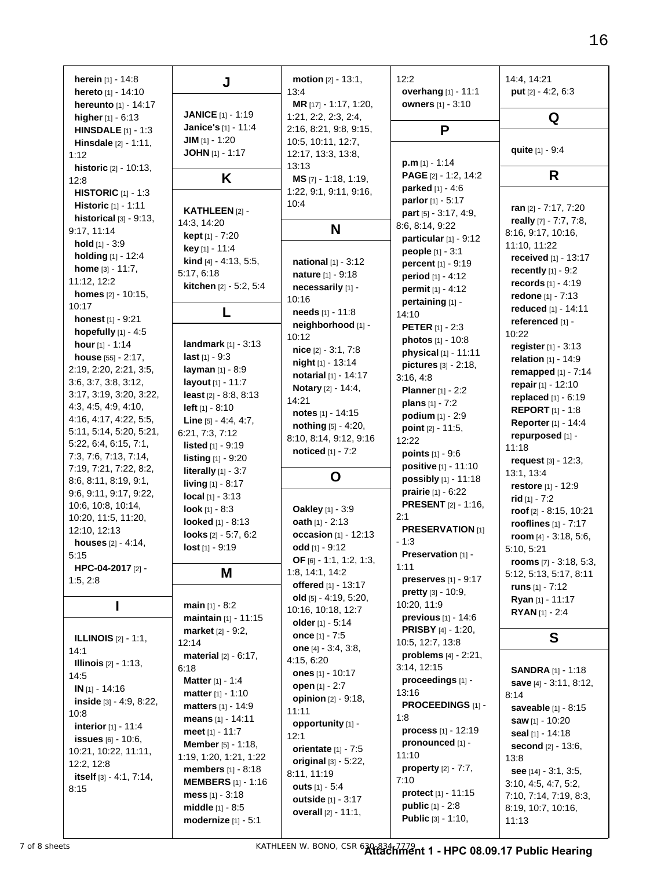| herein [1] - 14:8<br>hereto [1] - 14:10<br>hereunto [1] - 14:17               | J                                                   | <b>motion</b> $[2] - 13:1$ ,<br>13:4<br>MR [17] - 1:17, 1:20, | 12:2<br>overhang [1] - 11:1<br><b>owners</b> [1] - 3:10        | 14:4, 14:21<br>put $[2] - 4:2, 6:3$            |
|-------------------------------------------------------------------------------|-----------------------------------------------------|---------------------------------------------------------------|----------------------------------------------------------------|------------------------------------------------|
| higher [1] - 6:13                                                             | <b>JANICE</b> [1] - 1:19<br>Janice's [1] - 11:4     | 1:21, 2:2, 2:3, 2:4,<br>2:16, 8:21, 9:8, 9:15,                | P                                                              | Q                                              |
| <b>HINSDALE</b> $[1] - 1:3$<br>Hinsdale [2] - 1:11,<br>1:12                   | JIM $[1] - 1:20$<br>JOHN $[1] - 1:17$               | 10:5, 10:11, 12:7,<br>12:17, 13:3, 13:8,<br>13:13             | $p.m$ [1] - 1:14                                               | quite [1] - 9:4                                |
| historic [2] - 10:13,<br>12:8                                                 | K                                                   | $MS$ [7] - 1:18, 1:19,                                        | PAGE [2] - 1:2, 14:2                                           | R                                              |
| <b>HISTORIC</b> [1] - 1:3<br>Historic [1] - 1:11<br>historical $[3] - 9:13$ , | KATHLEEN [2] -<br>14:3, 14:20                       | 1:22, 9:1, 9:11, 9:16,<br>10:4                                | parked [1] - 4:6<br>parlor [1] - 5:17<br>part [5] - 3:17, 4:9, | ran [2] - 7:17, 7:20<br>really [7] - 7:7, 7:8, |
| 9:17, 11:14                                                                   | <b>kept</b> $[1] - 7:20$                            | N                                                             | 8:6, 8:14, 9:22<br>particular [1] - 9:12                       | 8:16, 9:17, 10:16,                             |
| hold [1] - 3:9<br>holding [1] - 12:4                                          | key [1] - 11:4                                      |                                                               | people [1] - 3:1                                               | 11:10, 11:22<br>received [1] - 13:17           |
| home [3] - 11:7,                                                              | <b>kind</b> [4] $-$ 4:13, 5:5,<br>5:17, 6:18        | <b>national</b> $[1] - 3:12$<br><b>nature</b> [1] - 9:18      | percent [1] - 9:19                                             | <b>recently</b> $[1] - 9:2$                    |
| 11:12, 12:2                                                                   | kitchen [2] - 5:2, 5:4                              | necessarily [1] -                                             | <b>period</b> $[1] - 4:12$<br><b>permit</b> $[1] - 4:12$       | records [1] - 4:19                             |
| <b>homes</b> $[2] - 10:15$ ,<br>10:17                                         |                                                     | 10:16                                                         | pertaining [1] -                                               | redone [1] - 7:13                              |
| honest [1] - 9:21                                                             |                                                     | needs [1] - 11:8                                              | 14:10                                                          | reduced [1] - 14:11<br>referenced [1] -        |
| hopefully $[1] - 4:5$                                                         |                                                     | neighborhood [1] -<br>10:12                                   | <b>PETER</b> [1] - 2:3                                         | 10:22                                          |
| hour $[1] - 1:14$                                                             | <b>landmark</b> $[1] - 3:13$                        | $nice$ [2] $-3:1, 7:8$                                        | <b>photos</b> [1] - 10:8<br>physical [1] - 11:11               | register $[1] - 3:13$                          |
| house [55] - 2:17,                                                            | last $[1] - 9:3$                                    | night [1] - 13:14                                             | pictures [3] - 2:18,                                           | relation $[1] - 14:9$                          |
| 2:19, 2:20, 2:21, 3:5,<br>3:6, 3:7, 3:8, 3:12,                                | layman [1] - 8:9<br>layout [1] - 11:7               | notarial [1] - 14:17                                          | 3:16, 4:8                                                      | remapped [1] - 7:14                            |
| 3:17, 3:19, 3:20, 3:22,                                                       | least $[2] - 8:8, 8:13$                             | <b>Notary</b> [2] - 14:4,                                     | <b>Planner</b> [1] - 2:2                                       | repair [1] - 12:10<br>replaced [1] - 6:19      |
| 4:3, 4:5, 4:9, 4:10,                                                          | <b>left</b> $[1] - 8:10$                            | 14:21<br>notes $[1] - 14:15$                                  | <b>plans</b> $[1] - 7:2$                                       | <b>REPORT</b> $[1] - 1:8$                      |
| 4:16, 4:17, 4:22, 5:5,                                                        | Line [5] - 4:4, 4:7,                                | <b>nothing</b> $[5] - 4:20$ ,                                 | <b>podium</b> $[1] - 2:9$                                      | <b>Reporter</b> [1] - 14:4                     |
| 5:11, 5:14, 5:20, 5:21,                                                       | 6:21, 7:3, 7:12                                     | 8:10, 8:14, 9:12, 9:16                                        | point $[2] - 11:5$ ,<br>12:22                                  | repurposed [1] -                               |
| 5:22, 6:4, 6:15, 7:1,<br>7:3, 7:6, 7:13, 7:14,                                | <b>listed</b> $[1] - 9:19$                          | noticed [1] - 7:2                                             | <b>points</b> $[1] - 9:6$                                      | 11:18                                          |
| 7:19, 7:21, 7:22, 8:2,                                                        | listing [1] - 9:20                                  |                                                               | positive [1] - 11:10                                           | request [3] - 12:3,                            |
| 8:6, 8:11, 8:19, 9:1,                                                         | literally $[1] - 3:7$<br><b>living</b> $[1] - 8:17$ | O                                                             | possibly [1] - 11:18                                           | 13:1, 13:4                                     |
| 9:6, 9:11, 9:17, 9:22,                                                        | <b>local</b> $[1] - 3:13$                           |                                                               | <b>prairie</b> $[1] - 6:22$                                    | restore [1] - 12:9<br>rid $[1] - 7:2$          |
| 10:6, 10:8, 10:14,                                                            | <b>look</b> $[1] - 8:3$                             | Oakley [1] - 3:9                                              | <b>PRESENT</b> [2] - 1:16,                                     | roof [2] - 8:15, 10:21                         |
| 10:20, 11:5, 11:20,                                                           | <b>looked</b> [1] - 8:13                            | oath $[1] - 2:13$                                             | 2:1                                                            | rooflines $[1] - 7:17$                         |
| 12:10, 12:13<br>houses [2] - 4:14,                                            | looks $[2] - 5:7, 6:2$                              | occasion [1] - 12:13                                          | <b>PRESERVATION [1]</b><br>$-1:3$                              | room [4] - 3:18, 5:6,                          |
| 5:15                                                                          | $lost_{[1]} - 9:19$                                 | odd [1] - 9:12                                                | Preservation [1] -                                             | 5:10, 5:21                                     |
| HPC-04-2017 [2] -                                                             |                                                     | <b>OF</b> [6] - 1:1, 1:2, 1:3,<br>1:8, 14:1, 14:2             | 1:11                                                           | rooms [7] - 3:18, 5:3,                         |
| 1:5, 2:8                                                                      | Μ                                                   | offered [1] - 13:17                                           | preserves [1] - 9:17                                           | 5:12, 5:13, 5:17, 8:11                         |
|                                                                               |                                                     | old $[5] - 4:19, 5:20,$                                       | <b>pretty</b> $[3] - 10:9$ ,                                   | runs $[1] - 7:12$<br><b>Ryan</b> [1] - 11:17   |
|                                                                               | <b>main</b> $[1] - 8:2$                             | 10:16, 10:18, 12:7                                            | 10:20, 11:9                                                    | <b>RYAN</b> $[1] - 2:4$                        |
|                                                                               | <b>maintain</b> $[1] - 11:15$<br>market [2] - 9:2,  | older $[1] - 5:14$                                            | <b>previous</b> $[1] - 14:6$<br><b>PRISBY</b> [4] - 1:20,      |                                                |
| <b>ILLINOIS</b> $[2] - 1:1$ ,                                                 | 12:14                                               | once [1] - 7:5                                                | 10:5, 12:7, 13:8                                               | S                                              |
| 14:1                                                                          | <b>material</b> $[2] - 6:17$ ,                      | one [4] - 3:4, 3:8,<br>4:15, 6:20                             | problems $[4] - 2:21$ ,                                        |                                                |
| <b>Illinois</b> $[2] - 1:13$ ,                                                | 6:18                                                | ones $[1] - 10:17$                                            | 3:14, 12:15                                                    | <b>SANDRA</b> $[1] - 1:18$                     |
| 14:5<br>$IN_{[1]} - 14:16$                                                    | <b>Matter</b> $[1] - 1:4$                           | open [1] - 2:7                                                | proceedings [1] -                                              | save [4] - 3:11, 8:12,                         |
| inside $[3] - 4:9, 8:22,$                                                     | <b>matter</b> $[1] - 1:10$                          | <b>opinion</b> [2] - 9:18,                                    | 13:16                                                          | 8:14                                           |
| 10:8                                                                          | <b>matters</b> $[1] - 14:9$<br>means [1] - 14:11    | 11:11                                                         | PROCEEDINGS [1] -<br>1:8                                       | saveable [1] - 8:15                            |
| <b>interior</b> $[1] - 11:4$                                                  | meet $[1] - 11:7$                                   | opportunity [1] -                                             | <b>process</b> $[1] - 12:19$                                   | <b>saw</b> [1] - 10:20<br>seal [1] - 14:18     |
| <b>issues</b> $[6] - 10:6$ ,                                                  | Member [5] - 1:18,                                  | 12:1                                                          | pronounced [1] -                                               | second [2] - 13:6,                             |
| 10:21, 10:22, 11:11,                                                          | 1:19, 1:20, 1:21, 1:22                              | orientate $[1] - 7:5$<br>original $[3] - 5:22$ ,              | 11:10                                                          | 13:8                                           |
| 12:2, 12:8<br>itself $[3] - 4:1, 7:14,$                                       | <b>members</b> $[1] - 8:18$                         | 8:11, 11:19                                                   | <b>property</b> $[2] - 7:7$ ,                                  | see [14] - 3:1, 3:5,                           |
| 8:15                                                                          | <b>MEMBERS</b> $[1]$ - 1:16                         | <b>outs</b> $[1] - 5:4$                                       | 7:10                                                           | 3:10, 4:5, 4:7, 5:2,                           |
|                                                                               | mess $[1] - 3:18$                                   | <b>outside</b> [1] - 3:17                                     | protect [1] - 11:15                                            | 7:10, 7:14, 7:19, 8:3,                         |
|                                                                               | <b>middle</b> $[1] - 8:5$                           | overall $[2] - 11:1$ ,                                        | <b>public</b> $[1] - 2:8$<br><b>Public</b> $[3] - 1:10$ ,      | 8:19, 10:7, 10:16,                             |
|                                                                               | <b>modernize</b> $[1] - 5:1$                        |                                                               |                                                                | 11:13                                          |

7 of 8 sheets KATHLEEN W. BONO, CSR 630-834-7779 **Attachment 1 - HPC 08.09.17 Public Hearing**